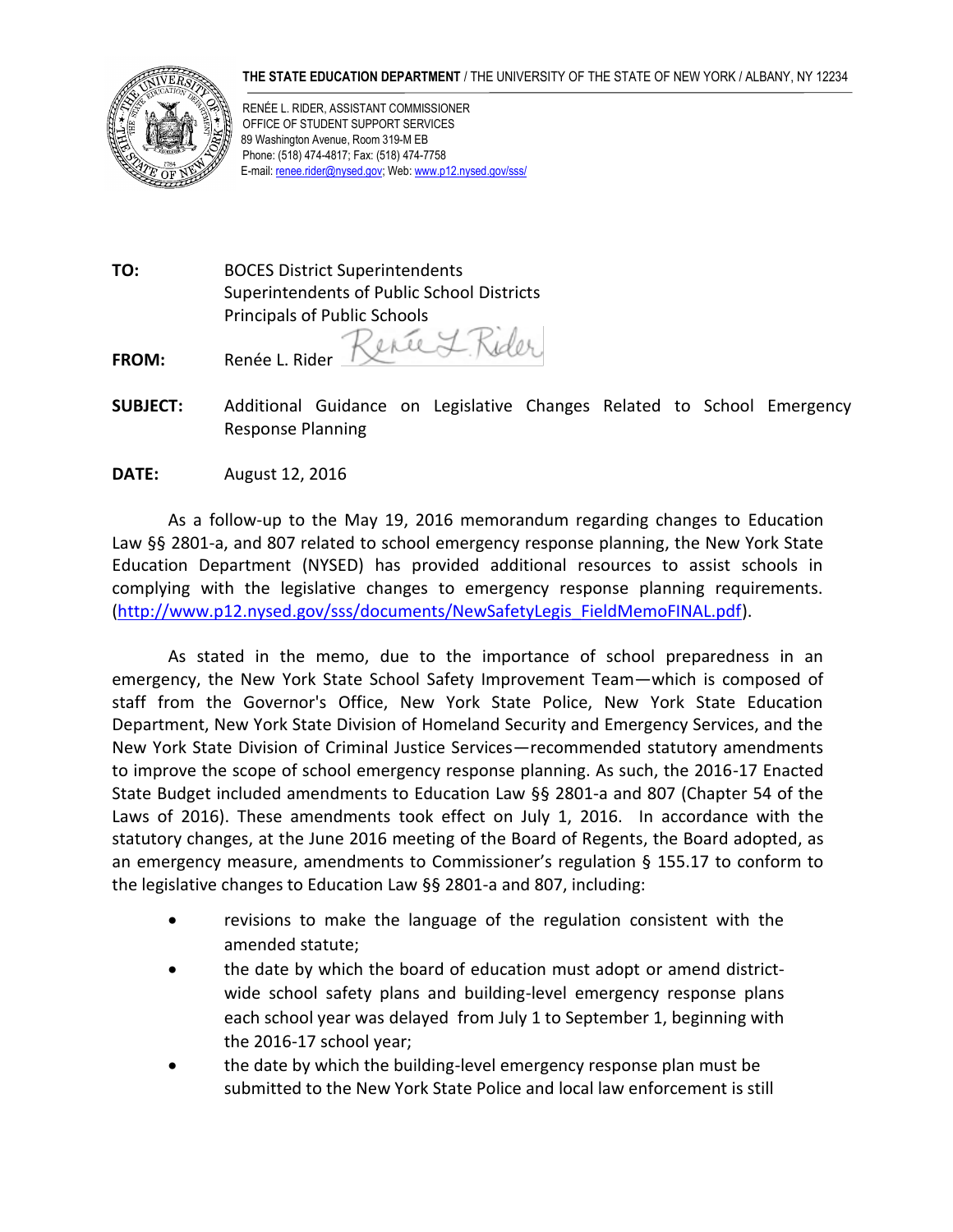## **THE STATE EDUCATION DEPARTMENT** / THE UNIVERSITY OF THE STATE OF NEW YORK / ALBANY, NY 12234



RENÉE L. RIDER, ASSISTANT COMMISSIONER OFFICE OF STUDENT SUPPORT SERVICES 89 Washington Avenue, Room 319-M EB Phone: (518) 474-4817; Fax: (518) 474-7758 E-mail[: renee.rider@nysed.gov;](mailto:renee.rider@nysed.gov) Web[: www.p12.nysed.gov/sss/](http://www.p12.nysed.gov/sss/)

**TO:** BOCES District Superintendents Superintendents of Public School Districts Principals of Public Schools

Rene L. Rider

**FROM:** Renée L. Rider

- **SUBJECT:** Additional Guidance on Legislative Changes Related to School Emergency Response Planning
- **DATE:** August 12, 2016

As a follow-up to the May 19, 2016 memorandum regarding changes to Education Law §§ 2801-a, and 807 related to school emergency response planning, the New York State Education Department (NYSED) has provided additional resources to assist schools in complying with the legislative changes to emergency response planning requirements. [\(http://www.p12.nysed.gov/sss/documents/NewSafetyLegis\\_FieldMemoFINAL.pdf\)](http://www.p12.nysed.gov/sss/documents/NewSafetyLegis_FieldMemoFINAL.pdf).

As stated in the memo, due to the importance of school preparedness in an emergency, the New York State School Safety Improvement Team—which is composed of staff from the Governor's Office, New York State Police, New York State Education Department, New York State Division of Homeland Security and Emergency Services, and the New York State Division of Criminal Justice Services—recommended statutory amendments to improve the scope of school emergency response planning. As such, the 2016-17 Enacted State Budget included amendments to Education Law §§ 2801-a and 807 (Chapter 54 of the Laws of 2016). These amendments took effect on July 1, 2016. In accordance with the statutory changes, at the June 2016 meeting of the Board of Regents, the Board adopted, as an emergency measure, amendments to Commissioner's regulation § 155.17 to conform to the legislative changes to Education Law §§ 2801-a and 807, including:

- revisions to make the language of the regulation consistent with the amended statute;
- the date by which the board of education must adopt or amend districtwide school safety plans and building-level emergency response plans each school year was delayed from July 1 to September 1, beginning with the 2016-17 school year;
- the date by which the building-level emergency response plan must be submitted to the New York State Police and local law enforcement is still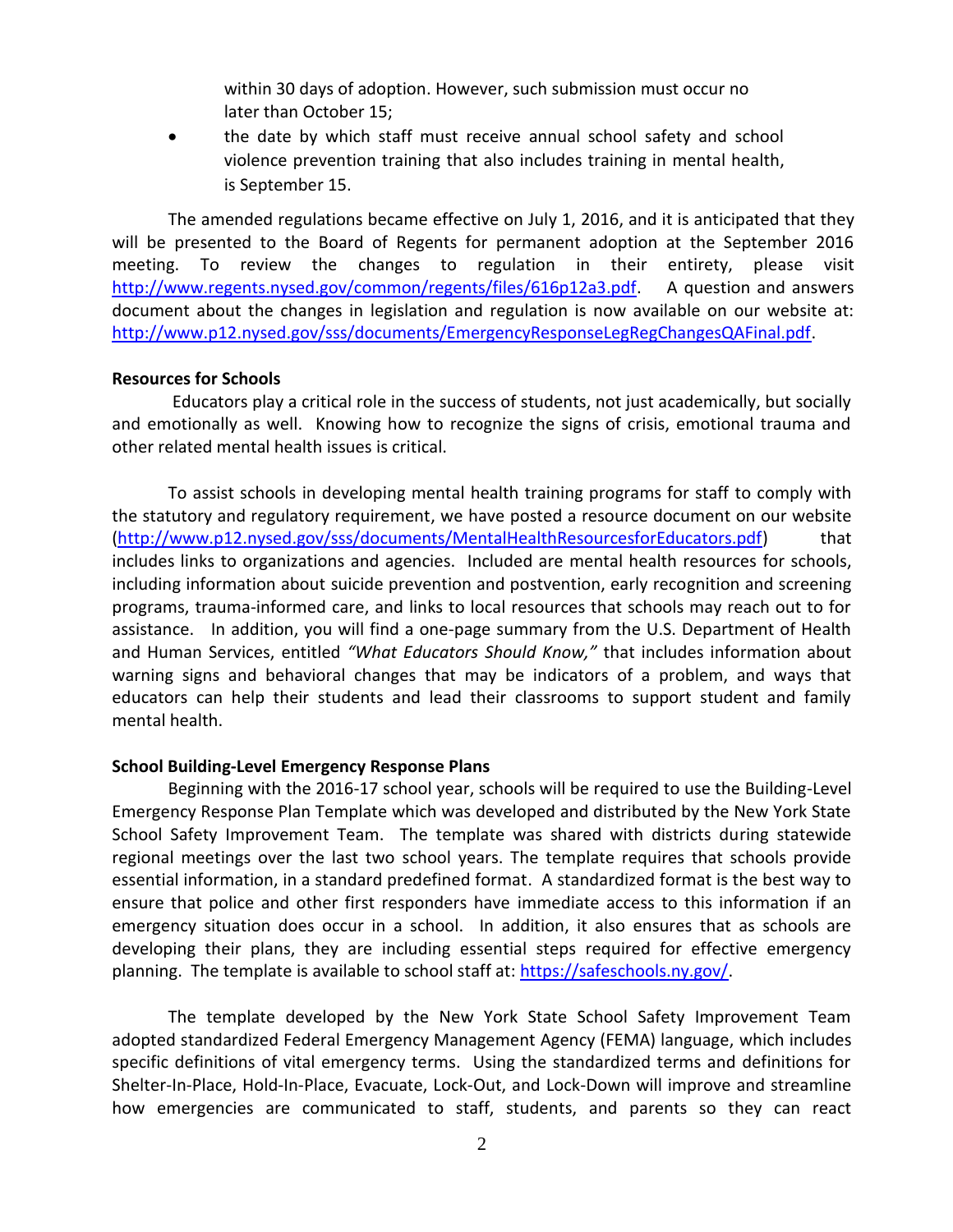within 30 days of adoption. However, such submission must occur no later than October 15;

 the date by which staff must receive annual school safety and school violence prevention training that also includes training in mental health, is September 15.

The amended regulations became effective on July 1, 2016, and it is anticipated that they will be presented to the Board of Regents for permanent adoption at the September 2016 meeting. To review the changes to regulation in their entirety, please visit [http://www.regents.nysed.gov/common/regents/files/616p12a3.pdf.](http://www.regents.nysed.gov/common/regents/files/616p12a3.pdf) A question and answers document about the changes in legislation and regulation is now available on our website at: [http://www.p12.nysed.gov/sss/documents/EmergencyResponseLegRegChangesQAFinal.pdf.](http://www.p12.nysed.gov/sss/documents/EmergencyResponseLegRegChangesQAFinal.pdf)

## **Resources for Schools**

Educators play a critical role in the success of students, not just academically, but socially and emotionally as well. Knowing how to recognize the signs of crisis, emotional trauma and other related mental health issues is critical.

To assist schools in developing mental health training programs for staff to comply with the statutory and regulatory requirement, we have posted a resource document on our website [\(http://www.p12.nysed.gov/sss/documents/MentalHealthResourcesforEducators.pdf\)](http://www.p12.nysed.gov/sss/documents/MentalHealthResourcesforEducators.pdf) that includes links to organizations and agencies. Included are mental health resources for schools, including information about suicide prevention and postvention, early recognition and screening programs, trauma-informed care, and links to local resources that schools may reach out to for assistance. In addition, you will find a one-page summary from the U.S. Department of Health and Human Services, entitled *"What Educators Should Know,"* that includes information about warning signs and behavioral changes that may be indicators of a problem, and ways that educators can help their students and lead their classrooms to support student and family mental health.

## **School Building-Level Emergency Response Plans**

Beginning with the 2016-17 school year, schools will be required to use the Building-Level Emergency Response Plan Template which was developed and distributed by the New York State School Safety Improvement Team. The template was shared with districts during statewide regional meetings over the last two school years. The template requires that schools provide essential information, in a standard predefined format. A standardized format is the best way to ensure that police and other first responders have immediate access to this information if an emergency situation does occur in a school. In addition, it also ensures that as schools are developing their plans, they are including essential steps required for effective emergency planning. The template is available to school staff at: [https://safeschools.ny.gov/.](https://safeschools.ny.gov/)

The template developed by the New York State School Safety Improvement Team adopted standardized Federal Emergency Management Agency (FEMA) language, which includes specific definitions of vital emergency terms. Using the standardized terms and definitions for Shelter-In-Place, Hold-In-Place, Evacuate, Lock-Out, and Lock-Down will improve and streamline how emergencies are communicated to staff, students, and parents so they can react